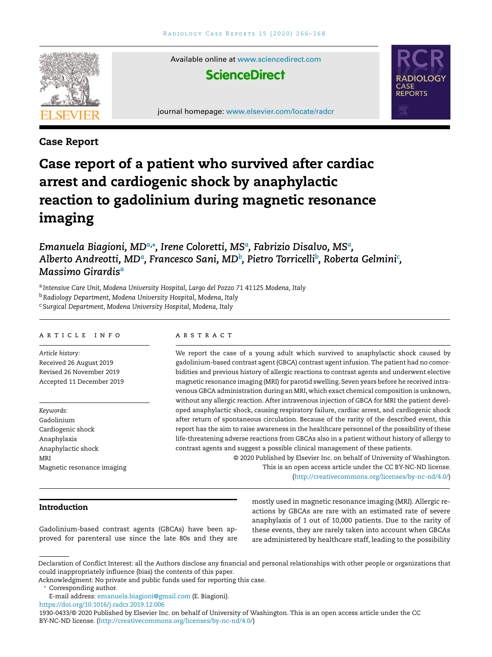

Available online at [www.sciencedirect.com](http://www.sciencedirect.com/science/journal/19300433)



journal homepage: [www.elsevier.com/locate/radcr](http://www.elsevier.com/locate/radcr)



### **Case Report**

# **Case report of a patient who survived after cardiac arrest and cardiogenic shock by anaphylactic reaction to gadolinium during magnetic resonance imaging**

*Emanuela Biagioni, MDa,***<sup>∗</sup>** *, Irene Coloretti, MS<sup>a</sup> , Fabrizio Disalvo, MS<sup>a</sup> , Alberto Andreotti, MD<sup>a</sup> , Francesco Sani, MD<sup>b</sup> , Pietro Torricelli<sup>b</sup> , Roberta Gelmini<sup>c</sup> , Massimo Girardis<sup>a</sup>*

<sup>a</sup> *Intensive Care Unit, Modena University Hospital, Largo del Pozzo 71 41125 Modena, Italy*

<sup>b</sup>*Radiology Department, Modena University Hospital, Modena, Italy*

<sup>c</sup> *Surgical Department, Modena University Hospital, Modena, Italy*

#### a r t i c l e i n f o

*Article history:* Received 26 August 2019 Revised 26 November 2019 Accepted 11 December 2019

*Keywords:* Gadolinium Cardiogenic shock Anaphylaxis Anaphylactic shock MRI Magnetic resonance imaging

# a b s t r a c t

We report the case of a young adult which survived to anaphylactic shock caused by gadolinium-based contrast agent (GBCA) contrast agent infusion. The patient had no comorbidities and previous history of allergic reactions to contrast agents and underwent elective magnetic resonance imaging (MRI) for parotid swelling. Seven years before he received intravenous GBCA administration during an MRI, which exact chemical composition is unknown, without any allergic reaction. After intravenous injection of GBCA for MRI the patient developed anaphylactic shock, causing respiratory failure, cardiac arrest, and cardiogenic shock after return of spontaneous circulation. Because of the rarity of the described event, this report has the aim to raise awareness in the healthcare personnel of the possibility of these life-threatening adverse reactions from GBCAs also in a patient without history of allergy to contrast agents and suggest a possible clinical management of these patients.

© 2020 Published by Elsevier Inc. on behalf of University of Washington. This is an open access article under the CC BY-NC-ND license. [\(http://creativecommons.org/licenses/by-nc-nd/4.0/\)](http://creativecommons.org/licenses/by-nc-nd/4.0/)

**Introduction**

Gadolinium-based contrast agents (GBCAs) have been approved for parenteral use since the late 80s and they are mostly used in magnetic resonance imaging (MRI). Allergic reactions by GBCAs are rare with an estimated rate of severe anaphylaxis of 1 out of 10,000 patients. Due to the rarity of these events, they are rarely taken into account when GBCAs are administered by healthcare staff, leading to the possibility

Declaration of Conflict Interest: all the Authors disclose any financial and personal relationships with other people or organizations that could inappropriately influence (bias) the contents of this paper.

Acknowledgment: No private and public funds used for reporting this case.

Corresponding author.

E-mail address: [emanuela.biagioni@gmail.com](mailto:emanuela.biagioni@gmail.com) (E. Biagioni).

<https://doi.org/10.1016/j.radcr.2019.12.006>

<sup>1930-0433/© 2020</sup> Published by Elsevier Inc. on behalf of University of Washington. This is an open access article under the CC BY-NC-ND license. [\(http://creativecommons.org/licenses/by-nc-nd/4.0/\)](http://creativecommons.org/licenses/by-nc-nd/4.0/)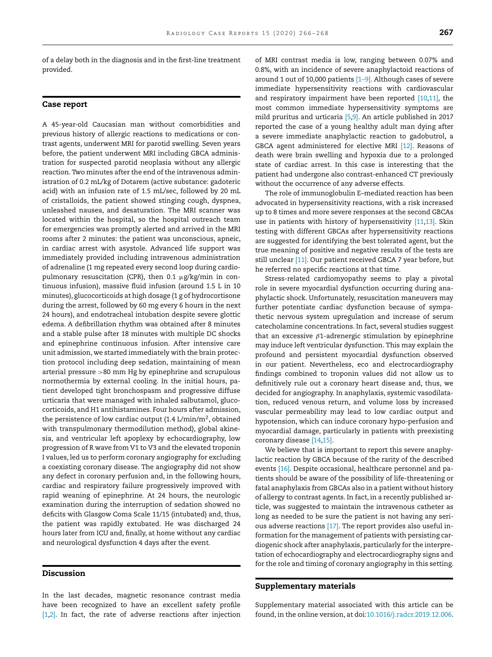of a delay both in the diagnosis and in the first-line treatment provided.

#### **Case report**

A 45-year-old Caucasian man without comorbidities and previous history of allergic reactions to medications or contrast agents, underwent MRI for parotid swelling. Seven years before, the patient underwent MRI including GBCA administration for suspected parotid neoplasia without any allergic reaction. Two minutes after the end of the intravenous administration of 0.2 mL/kg of Dotarem (active substance: gadoteric acid) with an infusion rate of 1.5 mL/sec, followed by 20 mL of cristalloids, the patient showed stinging cough, dyspnea, unleashed nausea, and desaturation. The MRI scanner was located within the hospital, so the hospital outreach team for emergencies was promptly alerted and arrived in the MRI rooms after 2 minutes: the patient was unconscious, apneic, in cardiac arrest with asystole. Advanced life support was immediately provided including intravenous administration of adrenaline (1 mg repeated every second loop during cardiopulmonary resuscitation (CPR), then 0.1 μg/kg/min in continuous infusion), massive fluid infusion (around 1.5 L in 10 minutes), glucocorticoids at high dosage (1 g of hydrocortisone during the arrest, followed by 60 mg every 6 hours in the next 24 hours), and endotracheal intubation despite severe glottic edema. A defibrillation rhythm was obtained after 8 minutes and a stable pulse after 18 minutes with multiple DC shocks and epinephrine continuous infusion. After intensive care unit admission, we started immediately with the brain protection protocol including deep sedation, maintaining of mean arterial pressure >80 mm Hg by epinephrine and scrupulous normothermia by external cooling. In the initial hours, patient developed tight bronchospasm and progressive diffuse urticaria that were managed with inhaled salbutamol, glucocorticoids, and H1 antihistamines. Four hours after admission, the persistence of low cardiac output  $(1.4 \text{ L/min/m}^2, \text{obtained}$ with transpulmonary thermodilution method), global akinesia, and ventricular left apoplexy by echocardiography, low progression of R wave from V1 to V3 and the elevated troponin I values, led us to perform coronary angiography for excluding a coexisting coronary disease. The angiography did not show any defect in coronary perfusion and, in the following hours, cardiac and respiratory failure progressively improved with rapid weaning of epinephrine. At 24 hours, the neurologic examination during the interruption of sedation showed no deficits with Glasgow Coma Scale 11/15 (intubated) and, thus, the patient was rapidly extubated. He was discharged 24 hours later from ICU and, finally, at home without any cardiac and neurological dysfunction 4 days after the event.

### **Discussion**

In the last decades, magnetic resonance contrast media have been recognized to have an excellent safety profile  $[1,2]$ . In fact, the rate of adverse reactions after injection of MRI contrast media is low, ranging between 0.07% and 0.8%, with an incidence of severe anaphylactoid reactions of around 1 out of 10,000 patients  $[1-9]$ . Although cases of severe immediate hypersensitivity reactions with cardiovascular and respiratory impairment have been reported [\[10,11\],](#page-2-0) the most common immediate hypersensitivity symptoms are mild pruritus and urticaria [\[5,9\].](#page-2-0) An article published in 2017 reported the case of a young healthy adult man dying after a severe immediate anaphylactic reaction to gadobutrol, a GBCA agent administered for elective MRI [\[12\].](#page-2-0) Reasons of death were brain swelling and hypoxia due to a prolonged state of cardiac arrest. In this case is interesting that the patient had undergone also contrast-enhanced CT previously without the occurrence of any adverse effects.

The role of immunoglobulin E–mediated reaction has been advocated in hypersensitivity reactions, with a risk increased up to 8 times and more severe responses at the second GBCAs use in patients with history of hypersensitivity [\[11,13\].](#page-2-0) Skin testing with different GBCAs after hypersensitivity reactions are suggested for identifying the best tolerated agent, but the true meaning of positive and negative results of the tests are still unclear [\[11\].](#page-2-0) Our patient received GBCA 7 year before, but he referred no specific reactions at that time.

Stress-related cardiomyopathy seems to play a pivotal role in severe myocardial dysfunction occurring during anaphylactic shock. Unfortunately, resuscitation maneuvers may further potentiate cardiac dysfunction because of sympathetic nervous system upregulation and increase of serum catecholamine concentrations. In fact, several studies suggest that an excessive  $\beta$ 1-adrenergic stimulation by epinephrine may induce left ventricular dysfunction. This may explain the profound and persistent myocardial dysfunction observed in our patient. Nevertheless, eco and electrocardiography findings combined to troponin values did not allow us to definitively rule out a coronary heart disease and, thus, we decided for angiography. In anaphylaxis, systemic vasodilatation, reduced venous return, and volume loss by increased vascular permeability may lead to low cardiac output and hypotension, which can induce coronary hypo-perfusion and myocardial damage, particularly in patients with preexisting coronary disease [\[14,15\].](#page-2-0)

We believe that is important to report this severe anaphylactic reaction by GBCA because of the rarity of the described events [\[16\].](#page-2-0) Despite occasional, healthcare personnel and patients should be aware of the possibility of life-threatening or fatal anaphylaxis from GBCAs also in a patient without history of allergy to contrast agents. In fact, in a recently published article, was suggested to maintain the intravenous catheter as long as needed to be sure the patient is not having any serious adverse reactions [\[17\].](#page-2-0) The report provides also useful information for the management of patients with persisting cardiogenic shock after anaphylaxis, particularly for the interpretation of echocardiography and electrocardiography signs and for the role and timing of coronary angiography in this setting.

#### **Supplementary materials**

Supplementary material associated with this article can be found, in the online version, at doi[:10.1016/j.radcr.2019.12.006.](https://doi.org/10.1016/j.radcr.2019.12.006)